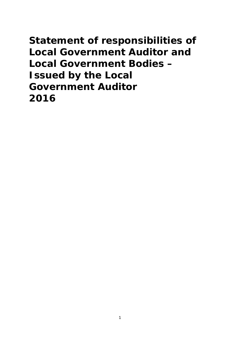**Statement of responsibilities of Local Government Auditor and Local Government Bodies – Issued by the Local Government Auditor 2016**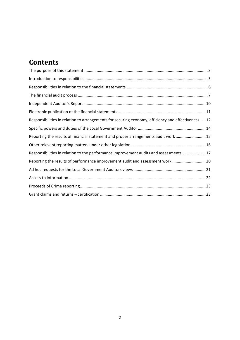# **Contents**

| Responsibilities in relation to arrangements for securing economy, efficiency and effectiveness  12 |  |
|-----------------------------------------------------------------------------------------------------|--|
|                                                                                                     |  |
| Reporting the results of financial statement and proper arrangements audit work  15                 |  |
|                                                                                                     |  |
| Responsibilities in relation to the performance improvement audits and assessments  17              |  |
| Reporting the results of performance improvement audit and assessment work 20                       |  |
|                                                                                                     |  |
|                                                                                                     |  |
|                                                                                                     |  |
|                                                                                                     |  |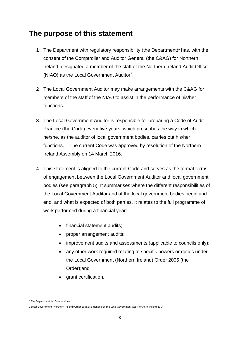## **The purpose of this statement**

- 1 The Department with regulatory responsibility (the Department)<sup>1</sup> has, with the consent of the Comptroller and Auditor General (the C&AG) for Northern Ireland, designated a member of the staff of the Northern Ireland Audit Office (NIAO) as the Local Government Auditor<sup>2</sup>.
- 2 The Local Government Auditor may make arrangements with the C&AG for members of the staff of the NIAO to assist in the performance of his/her functions.
- 3 The Local Government Auditor is responsible for preparing a Code of Audit Practice (the Code) every five years, which prescribes the way in which he/she, as the auditor of local government bodies, carries out his/her functions. The current Code was approved by resolution of the Northern Ireland Assembly on 14 March 2016.
- 4 This statement is aligned to the current Code and serves as the formal terms of engagement between the Local Government Auditor and local government bodies (see paragraph 5). It summarises where the different responsibilities of the Local Government Auditor and of the local government bodies begin and end, and what is expected of both parties. It relates to the full programme of work performed during a financial year:
	- financial statement audits;
	- proper arrangement audits;
	- improvement audits and assessments (applicable to councils only);
	- any other work required relating to specific powers or duties under the Local Government (Northern Ireland) Order 2005 (the Order);and
	- grant certification.

 1 The Department for Communities

<sup>2</sup> Local Government (Northern Ireland) Order 2005,as amended by the Local Government Act (Northern Ireland)2014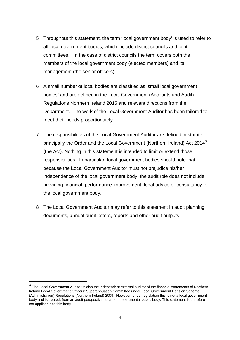- 5 Throughout this statement, the term 'local government body' is used to refer to all local government bodies, which include district councils and joint committees. In the case of district councils the term covers both the members of the local government body (elected members) and its management (the senior officers).
- 6 A small number of local bodies are classified as 'small local government bodies' and are defined in the Local Government (Accounts and Audit) Regulations Northern Ireland 2015 and relevant directions from the Department. The work of the Local Government Auditor has been tailored to meet their needs proportionately.
- 7 The responsibilities of the Local Government Auditor are defined in statute principally the Order and the Local Government (Northern Ireland) Act  $2014<sup>3</sup>$ (the Act). Nothing in this statement is intended to limit or extend those responsibilities. In particular, local government bodies should note that, because the Local Government Auditor must not prejudice his/her independence of the local government body, the audit role does not include providing financial, performance improvement, legal advice or consultancy to the local government body.
- 8 The Local Government Auditor may refer to this statement in audit planning documents, annual audit letters, reports and other audit outputs.

 $3$  The Local Government Auditor is also the independent external auditor of the financial statements of Northern Ireland Local Government Officers' Superannuation Committee under Local Government Pension Scheme (Administration) Regulations (Northern Ireland) 2009. However, under legislation this is not a local government body and is treated, from an audit perspective, as a non departmental public body. This statement is therefore not applicable to this body.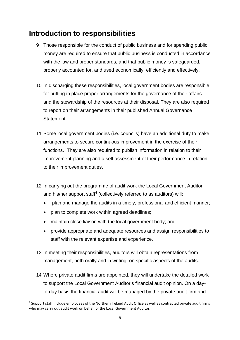# **Introduction to responsibilities**

- 9 Those responsible for the conduct of public business and for spending public money are required to ensure that public business is conducted in accordance with the law and proper standards, and that public money is safeguarded, properly accounted for, and used economically, efficiently and effectively.
- 10 In discharging these responsibilities, local government bodies are responsible for putting in place proper arrangements for the governance of their affairs and the stewardship of the resources at their disposal. They are also required to report on their arrangements in their published Annual Governance Statement.
- 11 Some local government bodies (i.e. councils) have an additional duty to make arrangements to secure continuous improvement in the exercise of their functions. They are also required to publish information in relation to their improvement planning and a self assessment of their performance in relation to their improvement duties.
- 12 In carrying out the programme of audit work the Local Government Auditor and his/her support staff<sup>4</sup> (collectively referred to as auditors) will:
	- plan and manage the audits in a timely, professional and efficient manner;
	- plan to complete work within agreed deadlines;

- maintain close liaison with the local government body; and
- provide appropriate and adequate resources and assign responsibilities to staff with the relevant expertise and experience.
- 13 In meeting their responsibilities, auditors will obtain representations from management, both orally and in writing, on specific aspects of the audits.
- 14 Where private audit firms are appointed, they will undertake the detailed work to support the Local Government Auditor's financial audit opinion. On a dayto-day basis the financial audit will be managed by the private audit firm and

 $<sup>4</sup>$  Support staff include employees of the Northern Ireland Audit Office as well as contracted private audit firms</sup> who may carry out audit work on behalf of the Local Government Auditor.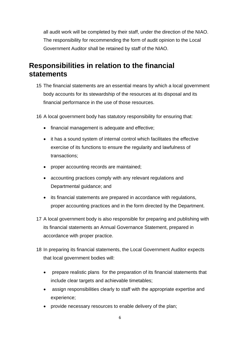all audit work will be completed by their staff, under the direction of the NIAO. The responsibility for recommending the form of audit opinion to the Local Government Auditor shall be retained by staff of the NIAO.

# **Responsibilities in relation to the financial statements**

- 15 The financial statements are an essential means by which a local government body accounts for its stewardship of the resources at its disposal and its financial performance in the use of those resources.
- 16 A local government body has statutory responsibility for ensuring that:
	- financial management is adequate and effective;
	- it has a sound system of internal control which facilitates the effective exercise of its functions to ensure the regularity and lawfulness of transactions;
	- proper accounting records are maintained;
	- accounting practices comply with any relevant regulations and Departmental guidance; and
	- its financial statements are prepared in accordance with regulations, proper accounting practices and in the form directed by the Department.
- 17 A local government body is also responsible for preparing and publishing with its financial statements an Annual Governance Statement, prepared in accordance with proper practice.
- 18 In preparing its financial statements, the Local Government Auditor expects that local government bodies will:
	- prepare realistic plans for the preparation of its financial statements that include clear targets and achievable timetables;
	- assign responsibilities clearly to staff with the appropriate expertise and experience;
	- provide necessary resources to enable delivery of the plan;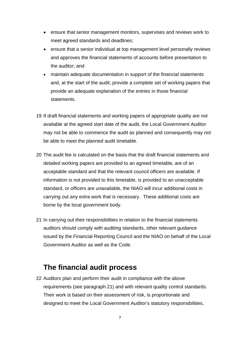- ensure that senior management monitors, supervises and reviews work to meet agreed standards and deadlines;
- ensure that a senior individual at top management level personally reviews and approves the financial statements of accounts before presentation to the auditor; and
- maintain adequate documentation in support of the financial statements and, at the start of the audit, provide a complete set of working papers that provide an adequate explanation of the entries in those financial statements.
- 19 If draft financial statements and working papers of appropriate quality are not available at the agreed start date of the audit, the Local Government Auditor may not be able to commence the audit as planned and consequently may not be able to meet the planned audit timetable.
- 20 The audit fee is calculated on the basis that the draft financial statements and detailed working papers are provided to an agreed timetable, are of an acceptable standard and that the relevant council officers are available. If information is not provided to this timetable, is provided to an unacceptable standard, or officers are unavailable, the NIAO will incur additional costs in carrying out any extra work that is necessary. These additional costs are borne by the local government body.
- 21 In carrying out their responsibilities in relation to the financial statements auditors should comply with auditing standards, other relevant guidance issued by the Financial Reporting Council and the NIAO on behalf of the Local Government Auditor as well as the Code.

### **The financial audit process**

22 Auditors plan and perform their audit in compliance with the above requirements (see paragraph 21) and with relevant quality control standards. Their work is based on their assessment of risk, is proportionate and designed to meet the Local Government Auditor's statutory responsibilities,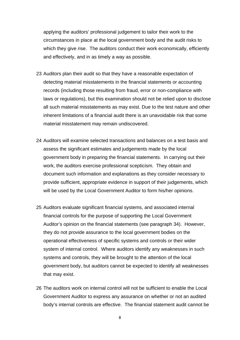applying the auditors' professional judgement to tailor their work to the circumstances in place at the local government body and the audit risks to which they give rise. The auditors conduct their work economically, efficiently and effectively, and in as timely a way as possible.

- 23 Auditors plan their audit so that they have a reasonable expectation of detecting material misstatements in the financial statements or accounting records (including those resulting from fraud, error or non-compliance with laws or regulations), but this examination should not be relied upon to disclose all such material misstatements as may exist. Due to the test nature and other inherent limitations of a financial audit there is an unavoidable risk that some material misstatement may remain undiscovered.
- 24 Auditors will examine selected transactions and balances on a test basis and assess the significant estimates and judgements made by the local government body in preparing the financial statements. In carrying out their work, the auditors exercise professional scepticism. They obtain and document such information and explanations as they consider necessary to provide sufficient, appropriate evidence in support of their judgements, which will be used by the Local Government Auditor to form his/her opinions.
- 25 Auditors evaluate significant financial systems, and associated internal financial controls for the purpose of supporting the Local Government Auditor's opinion on the financial statements (see paragraph 34). However, they do not provide assurance to the local government bodies on the operational effectiveness of specific systems and controls or their wider system of internal control. Where auditors identify any weaknesses in such systems and controls, they will be brought to the attention of the local government body, but auditors cannot be expected to identify all weaknesses that may exist.
- 26 The auditors work on internal control will not be sufficient to enable the Local Government Auditor to express any assurance on whether or not an audited body's internal controls are effective. The financial statement audit cannot be

8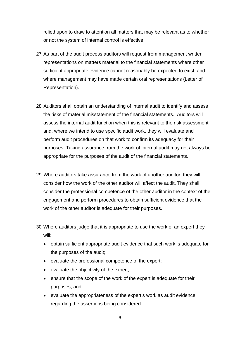relied upon to draw to attention all matters that may be relevant as to whether or not the system of internal control is effective.

- 27 As part of the audit process auditors will request from management written representations on matters material to the financial statements where other sufficient appropriate evidence cannot reasonably be expected to exist, and where management may have made certain oral representations (Letter of Representation).
- 28 Auditors shall obtain an understanding of internal audit to identify and assess the risks of material misstatement of the financial statements. Auditors will assess the internal audit function when this is relevant to the risk assessment and, where we intend to use specific audit work, they will evaluate and perform audit procedures on that work to confirm its adequacy for their purposes. Taking assurance from the work of internal audit may not always be appropriate for the purposes of the audit of the financial statements.
- 29 Where auditors take assurance from the work of another auditor, they will consider how the work of the other auditor will affect the audit. They shall consider the professional competence of the other auditor in the context of the engagement and perform procedures to obtain sufficient evidence that the work of the other auditor is adequate for their purposes.
- 30 Where auditors judge that it is appropriate to use the work of an expert they will:
	- obtain sufficient appropriate audit evidence that such work is adequate for the purposes of the audit;
	- evaluate the professional competence of the expert;
	- evaluate the objectivity of the expert;
	- ensure that the scope of the work of the expert is adequate for their purposes; and
	- evaluate the appropriateness of the expert's work as audit evidence regarding the assertions being considered.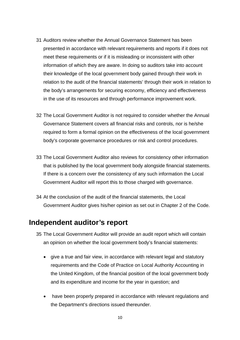- 31 Auditors review whether the Annual Governance Statement has been presented in accordance with relevant requirements and reports if it does not meet these requirements or if it is misleading or inconsistent with other information of which they are aware. In doing so auditors take into account their knowledge of the local government body gained through their work in relation to the audit of the financial statements' through their work in relation to the body's arrangements for securing economy, efficiency and effectiveness in the use of its resources and through performance improvement work.
- 32 The Local Government Auditor is not required to consider whether the Annual Governance Statement covers all financial risks and controls, nor is he/she required to form a formal opinion on the effectiveness of the local government body's corporate governance procedures or risk and control procedures.
- 33 The Local Government Auditor also reviews for consistency other information that is published by the local government body alongside financial statements. If there is a concern over the consistency of any such information the Local Government Auditor will report this to those charged with governance.
- 34 At the conclusion of the audit of the financial statements, the Local Government Auditor gives his/her opinion as set out in Chapter 2 of the Code.

#### **Independent auditor's report**

- 35 The Local Government Auditor will provide an audit report which will contain an opinion on whether the local government body's financial statements:
	- give a true and fair view, in accordance with relevant legal and statutory requirements and the Code of Practice on Local Authority Accounting in the United Kingdom, of the financial position of the local government body and its expenditure and income for the year in question; and
	- have been properly prepared in accordance with relevant regulations and the Department's directions issued thereunder.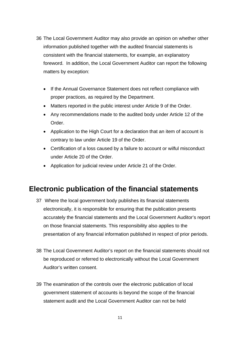- 36 The Local Government Auditor may also provide an opinion on whether other information published together with the audited financial statements is consistent with the financial statements, for example, an explanatory foreword. In addition, the Local Government Auditor can report the following matters by exception:
	- If the Annual Governance Statement does not reflect compliance with proper practices, as required by the Department.
	- Matters reported in the public interest under Article 9 of the Order.
	- Any recommendations made to the audited body under Article 12 of the Order.
	- Application to the High Court for a declaration that an item of account is contrary to law under Article 19 of the Order.
	- Certification of a loss caused by a failure to account or wilful misconduct under Article 20 of the Order.
	- Application for judicial review under Article 21 of the Order.

### **Electronic publication of the financial statements**

- 37 Where the local government body publishes its financial statements electronically, it is responsible for ensuring that the publication presents accurately the financial statements and the Local Government Auditor's report on those financial statements. This responsibility also applies to the presentation of any financial information published in respect of prior periods.
- 38 The Local Government Auditor's report on the financial statements should not be reproduced or referred to electronically without the Local Government Auditor's written consent.
- 39 The examination of the controls over the electronic publication of local government statement of accounts is beyond the scope of the financial statement audit and the Local Government Auditor can not be held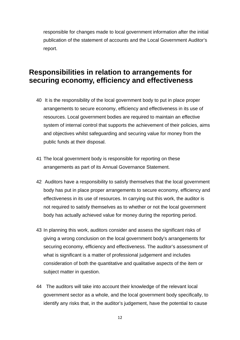responsible for changes made to local government information after the initial publication of the statement of accounts and the Local Government Auditor's report.

### **Responsibilities in relation to arrangements for securing economy, efficiency and effectiveness**

- 40 It is the responsibility of the local government body to put in place proper arrangements to secure economy, efficiency and effectiveness in its use of resources. Local government bodies are required to maintain an effective system of internal control that supports the achievement of their policies, aims and objectives whilst safeguarding and securing value for money from the public funds at their disposal.
- 41 The local government body is responsible for reporting on these arrangements as part of its Annual Governance Statement.
- 42 Auditors have a responsibility to satisfy themselves that the local government body has put in place proper arrangements to secure economy, efficiency and effectiveness in its use of resources. In carrying out this work, the auditor is not required to satisfy themselves as to whether or not the local government body has actually achieved value for money during the reporting period.
- 43 In planning this work, auditors consider and assess the significant risks of giving a wrong conclusion on the local government body's arrangements for securing economy, efficiency and effectiveness. The auditor's assessment of what is significant is a matter of professional judgement and includes consideration of both the quantitative and qualitative aspects of the item or subject matter in question.
- 44 The auditors will take into account their knowledge of the relevant local government sector as a whole, and the local government body specifically, to identify any risks that, in the auditor's judgement, have the potential to cause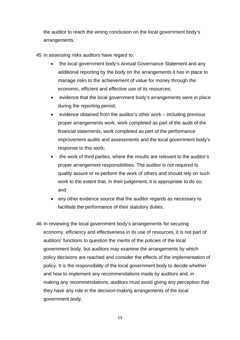the auditor to reach the wrong conclusion on the local government body's arrangements.

- 45 In assessing risks auditors have regard to:
	- the local government body's Annual Governance Statement and any additional reporting by the body on the arrangements it has in place to manage risks to the achievement of value for money through the economic, efficient and effective use of its resources;
	- evidence that the local government body's arrangements were in place during the reporting period;
	- evidence obtained from the auditor's other work including previous proper arrangements work, work completed as part of the audit of the financial statements, work completed as part of the performance improvement audits and assessments and the local government body's response to this work;
	- the work of third parties, where the results are relevant to the auditor's proper arrangement responsibilities. The auditor is not required to quality assure or re-perform the work of others and should rely on such work to the extent that, in their judgement, it is appropriate to do so; and
	- any other evidence source that the auditor regards as necessary to facilitate the performance of their statutory duties.
- 46 In reviewing the local government body's arrangements for securing economy, efficiency and effectiveness in its use of resources, it is not part of auditors' functions to question the merits of the policies of the local government body, but auditors may examine the arrangements by which policy decisions are reached and consider the effects of the implementation of policy. It is the responsibility of the local government body to decide whether and how to implement any recommendations made by auditors and, in making any recommendations, auditors must avoid giving any perception that they have any role in the decision-making arrangements of the local government body.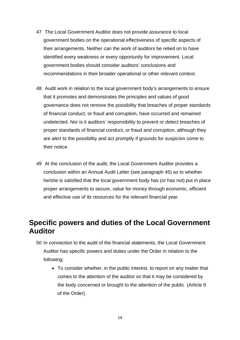- 47 The Local Government Auditor does not provide assurance to local government bodies on the operational effectiveness of specific aspects of their arrangements. Neither can the work of auditors be relied on to have identified every weakness or every opportunity for improvement. Local government bodies should consider auditors' conclusions and recommendations in their broader operational or other relevant context.
- 48 Audit work in relation to the local government body's arrangements to ensure that it promotes and demonstrates the principles and values of good governance does not remove the possibility that breaches of proper standards of financial conduct, or fraud and corruption, have occurred and remained undetected. Nor is it auditors' responsibility to prevent or detect breaches of proper standards of financial conduct, or fraud and corruption, although they are alert to the possibility and act promptly if grounds for suspicion come to their notice.
- 49 At the conclusion of the audit, the Local Government Auditor provides a conclusion within an Annual Audit Letter (see paragraph 45) as to whether he/she is satisfied that the local government body has (or has not) put in place proper arrangements to secure, value for money through economic, efficient and effective use of its resources for the relevant financial year.

### **Specific powers and duties of the Local Government Auditor**

- 50 In connection to the audit of the financial statements, the Local Government Auditor has specific powers and duties under the Order in relation to the following:
	- To consider whether, in the public interest, to report on any matter that comes to the attention of the auditor so that it may be considered by the body concerned or brought to the attention of the public (Article 9 of the Order).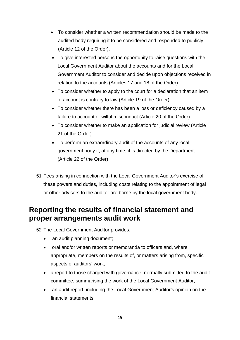- To consider whether a written recommendation should be made to the audited body requiring it to be considered and responded to publicly (Article 12 of the Order).
- To give interested persons the opportunity to raise questions with the Local Government Auditor about the accounts and for the Local Government Auditor to consider and decide upon objections received in relation to the accounts (Articles 17 and 18 of the Order).
- To consider whether to apply to the court for a declaration that an item of account is contrary to law (Article 19 of the Order).
- To consider whether there has been a loss or deficiency caused by a failure to account or wilful misconduct (Article 20 of the Order).
- To consider whether to make an application for judicial review (Article 21 of the Order).
- To perform an extraordinary audit of the accounts of any local government body if, at any time, it is directed by the Department. (Article 22 of the Order)
- 51 Fees arising in connection with the Local Government Auditor's exercise of these powers and duties, including costs relating to the appointment of legal or other advisers to the auditor are borne by the local government body.

## **Reporting the results of financial statement and proper arrangements audit work**

52 The Local Government Auditor provides:

- an audit planning document;
- oral and/or written reports or memoranda to officers and, where appropriate, members on the results of, or matters arising from, specific aspects of auditors' work;
- a report to those charged with governance, normally submitted to the audit committee, summarising the work of the Local Government Auditor;
- an audit report, including the Local Government Auditor's opinion on the financial statements;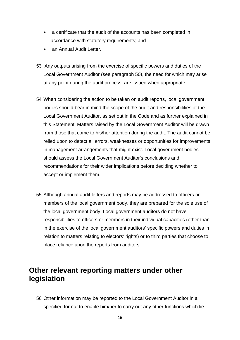- a certificate that the audit of the accounts has been completed in accordance with statutory requirements; and
- an Annual Audit Letter.
- 53 Any outputs arising from the exercise of specific powers and duties of the Local Government Auditor (see paragraph 50), the need for which may arise at any point during the audit process, are issued when appropriate.
- 54 When considering the action to be taken on audit reports, local government bodies should bear in mind the scope of the audit and responsibilities of the Local Government Auditor, as set out in the Code and as further explained in this Statement. Matters raised by the Local Government Auditor will be drawn from those that come to his/her attention during the audit. The audit cannot be relied upon to detect all errors, weaknesses or opportunities for improvements in management arrangements that might exist. Local government bodies should assess the Local Government Auditor's conclusions and recommendations for their wider implications before deciding whether to accept or implement them.
- 55 Although annual audit letters and reports may be addressed to officers or members of the local government body, they are prepared for the sole use of the local government body. Local government auditors do not have responsibilities to officers or members in their individual capacities (other than in the exercise of the local government auditors' specific powers and duties in relation to matters relating to electors' rights) or to third parties that choose to place reliance upon the reports from auditors.

### **Other relevant reporting matters under other legislation**

56 Other information may be reported to the Local Government Auditor in a specified format to enable him/her to carry out any other functions which lie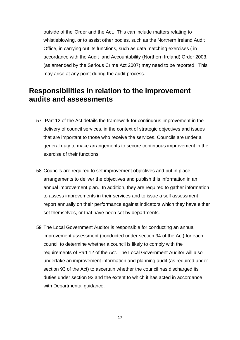outside of the Order and the Act. This can include matters relating to whistleblowing, or to assist other bodies, such as the Northern Ireland Audit Office, in carrying out its functions, such as data matching exercises ( in accordance with the Audit and Accountability (Northern Ireland) Order 2003, (as amended by the Serious Crime Act 2007) may need to be reported. This may arise at any point during the audit process.

### **Responsibilities in relation to the improvement audits and assessments**

- 57 Part 12 of the Act details the framework for continuous improvement in the delivery of council services, in the context of strategic objectives and issues that are important to those who receive the services. Councils are under a general duty to make arrangements to secure continuous improvement in the exercise of their functions.
- 58 Councils are required to set improvement objectives and put in place arrangements to deliver the objectives and publish this information in an annual improvement plan. In addition, they are required to gather information to assess improvements in their services and to issue a self assessment report annually on their performance against indicators which they have either set themselves, or that have been set by departments.
- 59 The Local Government Auditor is responsible for conducting an annual improvement assessment (conducted under section 94 of the Act) for each council to determine whether a council is likely to comply with the requirements of Part 12 of the Act. The Local Government Auditor will also undertake an improvement information and planning audit (as required under section 93 of the Act) to ascertain whether the council has discharged its duties under section 92 and the extent to which it has acted in accordance with Departmental guidance.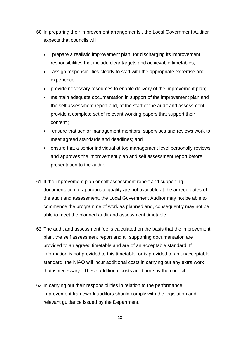60 In preparing their improvement arrangements , the Local Government Auditor expects that councils will:

- prepare a realistic improvement plan for discharging its improvement responsibilities that include clear targets and achievable timetables;
- assign responsibilities clearly to staff with the appropriate expertise and experience;
- provide necessary resources to enable delivery of the improvement plan;
- maintain adequate documentation in support of the improvement plan and the self assessment report and, at the start of the audit and assessment, provide a complete set of relevant working papers that support their content ;
- ensure that senior management monitors, supervises and reviews work to meet agreed standards and deadlines; and
- ensure that a senior individual at top management level personally reviews and approves the improvement plan and self assessment report before presentation to the auditor.
- 61 If the improvement plan or self assessment report and supporting documentation of appropriate quality are not available at the agreed dates of the audit and assessment, the Local Government Auditor may not be able to commence the programme of work as planned and, consequently may not be able to meet the planned audit and assessment timetable.
- 62 The audit and assessment fee is calculated on the basis that the improvement plan, the self assessment report and all supporting documentation are provided to an agreed timetable and are of an acceptable standard. If information is not provided to this timetable, or is provided to an unacceptable standard, the NIAO will incur additional costs in carrying out any extra work that is necessary. These additional costs are borne by the council.
- 63 In carrying out their responsibilities in relation to the performance improvement framework auditors should comply with the legislation and relevant guidance issued by the Department.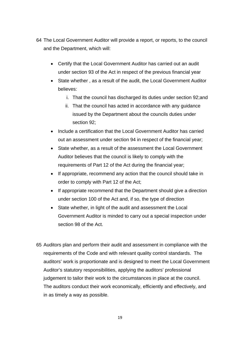- 64 The Local Government Auditor will provide a report, or reports, to the council and the Department, which will:
	- Certify that the Local Government Auditor has carried out an audit under section 93 of the Act in respect of the previous financial year
	- State whether , as a result of the audit, the Local Government Auditor believes:
		- i. That the council has discharged its duties under section 92;and
		- ii. That the council has acted in accordance with any guidance issued by the Department about the councils duties under section 92;
	- Include a certification that the Local Government Auditor has carried out an assessment under section 94 in respect of the financial year;
	- State whether, as a result of the assessment the Local Government Auditor believes that the council is likely to comply with the requirements of Part 12 of the Act during the financial year;
	- If appropriate, recommend any action that the council should take in order to comply with Part 12 of the Act;
	- If appropriate recommend that the Department should give a direction under section 100 of the Act and, if so, the type of direction
	- State whether, in light of the audit and assessment the Local Government Auditor is minded to carry out a special inspection under section 98 of the Act.
- 65 Auditors plan and perform their audit and assessment in compliance with the requirements of the Code and with relevant quality control standards. The auditors' work is proportionate and is designed to meet the Local Government Auditor's statutory responsibilities, applying the auditors' professional judgement to tailor their work to the circumstances in place at the council. The auditors conduct their work economically, efficiently and effectively, and in as timely a way as possible.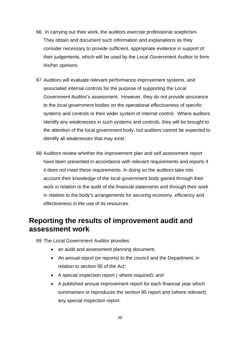- 66 In carrying out their work, the auditors exercise professional scepticism. They obtain and document such information and explanations as they consider necessary to provide sufficient, appropriate evidence in support of their judgements, which will be used by the Local Government Auditor to form his/her opinions.
- 67 Auditors will evaluate relevant performance improvement systems, and associated internal controls for the purpose of supporting the Local Government Auditor's assessment. However, they do not provide assurance to the local government bodies on the operational effectiveness of specific systems and controls or their wider system of internal control. Where auditors identify any weaknesses in such systems and controls, they will be brought to the attention of the local government body, but auditors cannot be expected to identify all weaknesses that may exist.
- 68 Auditors review whether the improvement plan and self assessment report have been presented in accordance with relevant requirements and reports if it does not meet these requirements. In doing so the auditors take into account their knowledge of the local government body gained through their work in relation to the audit of the financial statements and through their work in relation to the body's arrangements for securing economy, efficiency and effectiveness in the use of its resources.

### **Reporting the results of improvement audit and assessment work**

69 The Local Government Auditor provides:

- an audit and assessment planning document;
- An annual report (or reports) to the council and the Department, in relation to section 95 of the Act;
- A special inspection report ( where required); and
- A published annual improvement report for each financial year which summarises or reproduces the section 95 report and (where relevant) any special inspection report.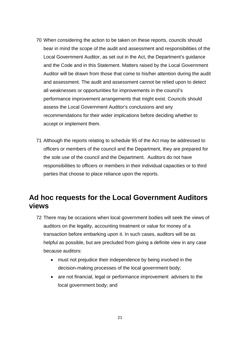- 70 When considering the action to be taken on these reports, councils should bear in mind the scope of the audit and assessment and responsibilities of the Local Government Auditor, as set out in the Act, the Department's guidance and the Code and in this Statement. Matters raised by the Local Government Auditor will be drawn from those that come to his/her attention during the audit and assessment. The audit and assessment cannot be relied upon to detect all weaknesses or opportunities for improvements in the council's performance improvement arrangements that might exist. Councils should assess the Local Government Auditor's conclusions and any recommendations for their wider implications before deciding whether to accept or implement them.
- 71 Although the reports relating to schedule 95 of the Act may be addressed to officers or members of the council and the Department, they are prepared for the sole use of the council and the Department. Auditors do not have responsibilities to officers or members in their individual capacities or to third parties that choose to place reliance upon the reports.

### **Ad hoc requests for the Local Government Auditors views**

- 72 There may be occasions when local government bodies will seek the views of auditors on the legality, accounting treatment or value for money of a transaction before embarking upon it. In such cases, auditors will be as helpful as possible, but are precluded from giving a definite view in any case because auditors:
	- must not prejudice their independence by being involved in the decision-making processes of the local government body;
	- are not financial, legal or performance improvement advisers to the local government body; and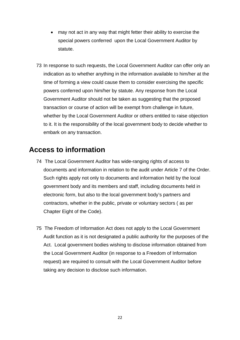- may not act in any way that might fetter their ability to exercise the special powers conferred upon the Local Government Auditor by statute.
- 73 In response to such requests, the Local Government Auditor can offer only an indication as to whether anything in the information available to him/her at the time of forming a view could cause them to consider exercising the specific powers conferred upon him/her by statute. Any response from the Local Government Auditor should not be taken as suggesting that the proposed transaction or course of action will be exempt from challenge in future, whether by the Local Government Auditor or others entitled to raise objection to it. It is the responsibility of the local government body to decide whether to embark on any transaction.

### **Access to information**

- 74 The Local Government Auditor has wide-ranging rights of access to documents and information in relation to the audit under Article 7 of the Order. Such rights apply not only to documents and information held by the local government body and its members and staff, including documents held in electronic form, but also to the local government body's partners and contractors, whether in the public, private or voluntary sectors ( as per Chapter Eight of the Code).
- 75 The Freedom of Information Act does not apply to the Local Government Audit function as it is not designated a public authority for the purposes of the Act. Local government bodies wishing to disclose information obtained from the Local Government Auditor (in response to a Freedom of Information request) are required to consult with the Local Government Auditor before taking any decision to disclose such information.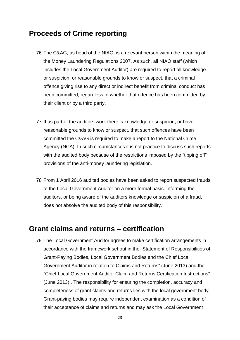#### **Proceeds of Crime reporting**

- 76 The C&AG, as head of the NIAO, is a relevant person within the meaning of the Money Laundering Regulations 2007. As such, all NIAO staff (which includes the Local Government Auditor) are required to report all knowledge or suspicion, or reasonable grounds to know or suspect, that a criminal offence giving rise to any direct or indirect benefit from criminal conduct has been committed, regardless of whether that offence has been committed by their client or by a third party.
- 77 If as part of the auditors work there is knowledge or suspicion, or have reasonable grounds to know or suspect, that such offences have been committed the C&AG is required to make a report to the National Crime Agency (NCA). In such circumstances it is not practice to discuss such reports with the audited body because of the restrictions imposed by the "tipping off" provisions of the anti-money laundering legislation.
- 78 From 1 April 2016 audited bodies have been asked to report suspected frauds to the Local Government Auditor on a more formal basis. Informing the auditors, or being aware of the auditors knowledge or suspicion of a fraud, does not absolve the audited body of this responsibility.

#### **Grant claims and returns – certification**

79 The Local Government Auditor agrees to make certification arrangements in accordance with the framework set out in the "Statement of Responsibilities of Grant-Paying Bodies, Local Government Bodies and the Chief Local Government Auditor in relation to Claims and Returns" (June 2013) and the "Chief Local Government Auditor Claim and Returns Certification Instructions" (June 2013) . The responsibility for ensuring the completion, accuracy and completeness of grant claims and returns lies with the local government body. Grant-paying bodies may require independent examination as a condition of their acceptance of claims and returns and may ask the Local Government